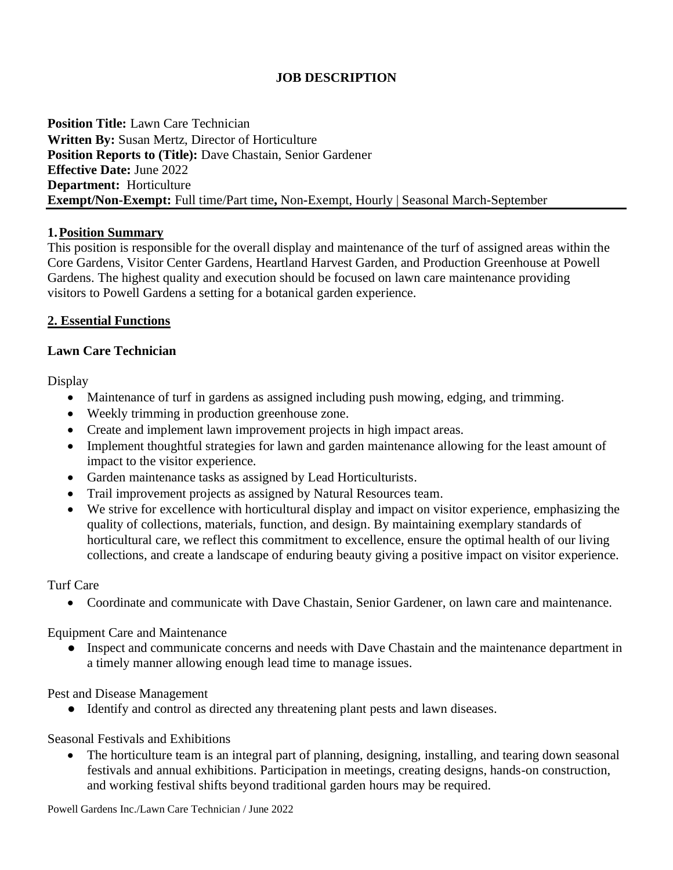# **JOB DESCRIPTION**

**Position Title:** Lawn Care Technician **Written By:** Susan Mertz, Director of Horticulture **Position Reports to (Title):** Dave Chastain, Senior Gardener **Effective Date:** June 2022 **Department:** Horticulture **Exempt/Non-Exempt:** Full time/Part time**,** Non**-**Exempt, Hourly | Seasonal March-September

### **1.Position Summary**

This position is responsible for the overall display and maintenance of the turf of assigned areas within the Core Gardens, Visitor Center Gardens, Heartland Harvest Garden, and Production Greenhouse at Powell Gardens. The highest quality and execution should be focused on lawn care maintenance providing visitors to Powell Gardens a setting for a botanical garden experience.

### **2. Essential Functions**

### **Lawn Care Technician**

**Display** 

- Maintenance of turf in gardens as assigned including push mowing, edging, and trimming.
- Weekly trimming in production greenhouse zone.
- Create and implement lawn improvement projects in high impact areas.
- Implement thoughtful strategies for lawn and garden maintenance allowing for the least amount of impact to the visitor experience.
- Garden maintenance tasks as assigned by Lead Horticulturists.
- Trail improvement projects as assigned by Natural Resources team.
- We strive for excellence with horticultural display and impact on visitor experience, emphasizing the quality of collections, materials, function, and design. By maintaining exemplary standards of horticultural care, we reflect this commitment to excellence, ensure the optimal health of our living collections, and create a landscape of enduring beauty giving a positive impact on visitor experience.

## Turf Care

• Coordinate and communicate with Dave Chastain, Senior Gardener, on lawn care and maintenance.

Equipment Care and Maintenance

● Inspect and communicate concerns and needs with Dave Chastain and the maintenance department in a timely manner allowing enough lead time to manage issues.

Pest and Disease Management

● Identify and control as directed any threatening plant pests and lawn diseases.

## Seasonal Festivals and Exhibitions

The horticulture team is an integral part of planning, designing, installing, and tearing down seasonal festivals and annual exhibitions. Participation in meetings, creating designs, hands-on construction, and working festival shifts beyond traditional garden hours may be required.

Powell Gardens Inc./Lawn Care Technician / June 2022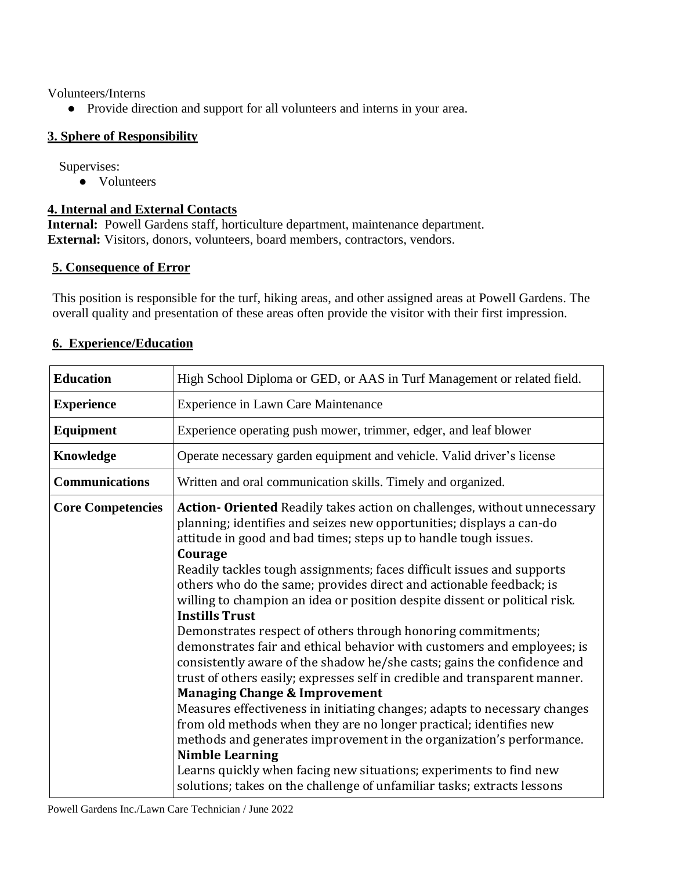Volunteers/Interns

● Provide direction and support for all volunteers and interns in your area.

# **3. Sphere of Responsibility**

Supervises:

● Volunteers

# **4. Internal and External Contacts**

**Internal:** Powell Gardens staff, horticulture department, maintenance department. **External:** Visitors, donors, volunteers, board members, contractors, vendors.

## **5. Consequence of Error**

This position is responsible for the turf, hiking areas, and other assigned areas at Powell Gardens. The overall quality and presentation of these areas often provide the visitor with their first impression.

| <b>Education</b>         | High School Diploma or GED, or AAS in Turf Management or related field.                                                                                                                                                                                                                                                                                                                                                                                                                                                                                                                                                                                                                                                                                                                                                                                                                                                                                                                                                                                                                                                                                                                                                                      |
|--------------------------|----------------------------------------------------------------------------------------------------------------------------------------------------------------------------------------------------------------------------------------------------------------------------------------------------------------------------------------------------------------------------------------------------------------------------------------------------------------------------------------------------------------------------------------------------------------------------------------------------------------------------------------------------------------------------------------------------------------------------------------------------------------------------------------------------------------------------------------------------------------------------------------------------------------------------------------------------------------------------------------------------------------------------------------------------------------------------------------------------------------------------------------------------------------------------------------------------------------------------------------------|
| <b>Experience</b>        | <b>Experience in Lawn Care Maintenance</b>                                                                                                                                                                                                                                                                                                                                                                                                                                                                                                                                                                                                                                                                                                                                                                                                                                                                                                                                                                                                                                                                                                                                                                                                   |
| <b>Equipment</b>         | Experience operating push mower, trimmer, edger, and leaf blower                                                                                                                                                                                                                                                                                                                                                                                                                                                                                                                                                                                                                                                                                                                                                                                                                                                                                                                                                                                                                                                                                                                                                                             |
| Knowledge                | Operate necessary garden equipment and vehicle. Valid driver's license                                                                                                                                                                                                                                                                                                                                                                                                                                                                                                                                                                                                                                                                                                                                                                                                                                                                                                                                                                                                                                                                                                                                                                       |
| <b>Communications</b>    | Written and oral communication skills. Timely and organized.                                                                                                                                                                                                                                                                                                                                                                                                                                                                                                                                                                                                                                                                                                                                                                                                                                                                                                                                                                                                                                                                                                                                                                                 |
| <b>Core Competencies</b> | Action-Oriented Readily takes action on challenges, without unnecessary<br>planning; identifies and seizes new opportunities; displays a can-do<br>attitude in good and bad times; steps up to handle tough issues.<br>Courage<br>Readily tackles tough assignments; faces difficult issues and supports<br>others who do the same; provides direct and actionable feedback; is<br>willing to champion an idea or position despite dissent or political risk.<br><b>Instills Trust</b><br>Demonstrates respect of others through honoring commitments;<br>demonstrates fair and ethical behavior with customers and employees; is<br>consistently aware of the shadow he/she casts; gains the confidence and<br>trust of others easily; expresses self in credible and transparent manner.<br><b>Managing Change &amp; Improvement</b><br>Measures effectiveness in initiating changes; adapts to necessary changes<br>from old methods when they are no longer practical; identifies new<br>methods and generates improvement in the organization's performance.<br><b>Nimble Learning</b><br>Learns quickly when facing new situations; experiments to find new<br>solutions; takes on the challenge of unfamiliar tasks; extracts lessons |

# **6. Experience/Education**